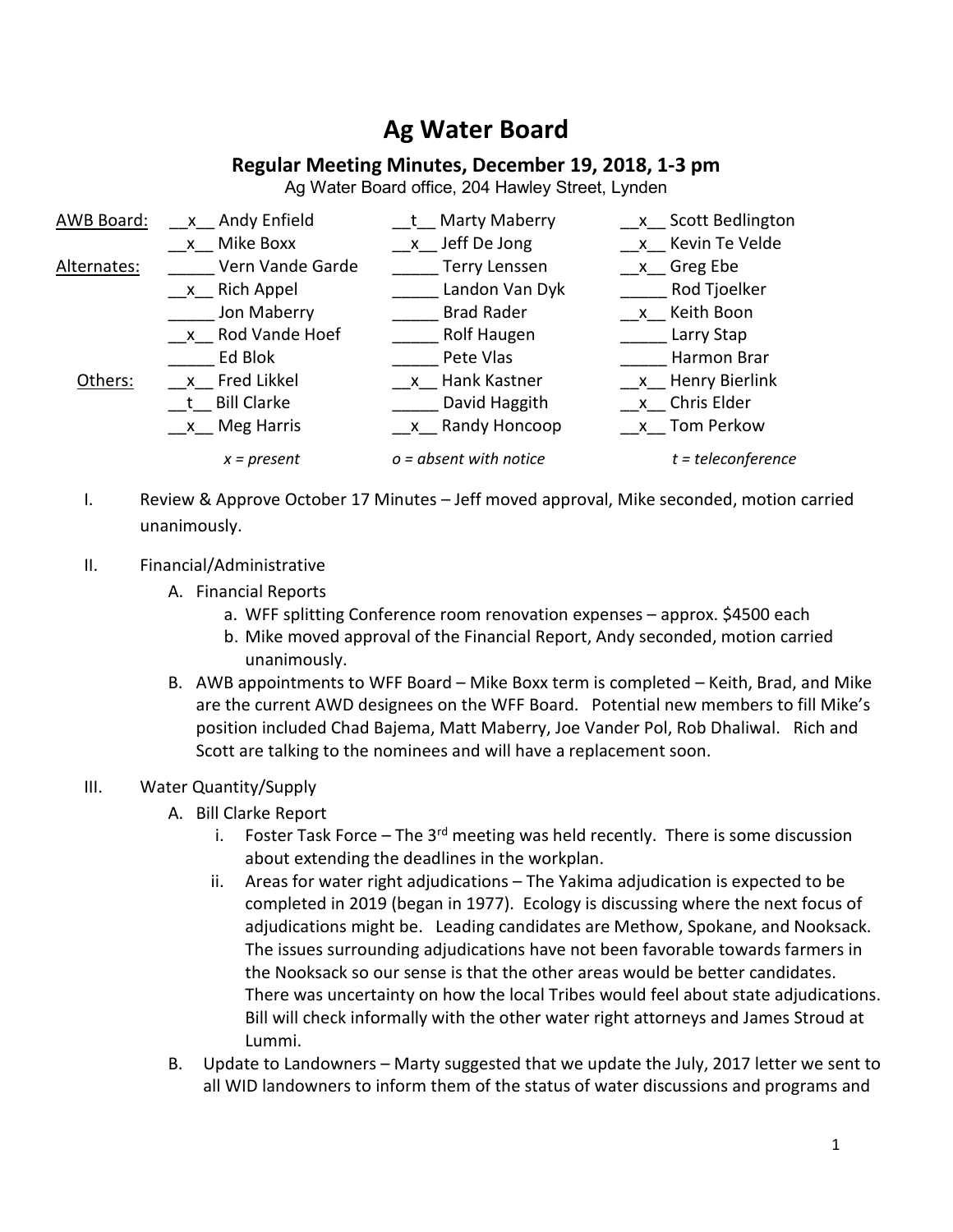# **Ag Water Board**

## **Regular Meeting Minutes, December 19, 2018, 1-3 pm**

Ag Water Board office, 204 Hawley Street, Lynden

| AWB Board:  | x Andy Enfield   | t Marty Maberry          | x Scott Bedlington        |
|-------------|------------------|--------------------------|---------------------------|
|             | x Mike Boxx      | x Jeff De Jong           | x Kevin Te Velde          |
| Alternates: | Vern Vande Garde | <b>Terry Lenssen</b>     | $x$ <sub>C</sub> Greg Ebe |
|             | $x$ Rich Appel   | Landon Van Dyk           | Rod Tjoelker              |
|             | Jon Maberry      | <b>Brad Rader</b>        | x Keith Boon              |
|             | x Rod Vande Hoef | <b>Rolf Haugen</b>       | Larry Stap                |
|             | Ed Blok          | Pete Vlas                | Harmon Brar               |
| Others:     | x Fred Likkel    | x Hank Kastner           | x Henry Bierlink          |
|             | t Bill Clarke    | David Haggith            | x Chris Elder             |
|             | x Meg Harris     | x Randy Honcoop          | x Tom Perkow              |
|             | $x = present$    | $o = absent$ with notice | $t = teleconference$      |

I. Review & Approve October 17 Minutes – Jeff moved approval, Mike seconded, motion carried unanimously.

#### II. Financial/Administrative

- A. Financial Reports
	- a. WFF splitting Conference room renovation expenses approx. \$4500 each
	- b. Mike moved approval of the Financial Report, Andy seconded, motion carried unanimously.
- B. AWB appointments to WFF Board Mike Boxx term is completed Keith, Brad, and Mike are the current AWD designees on the WFF Board. Potential new members to fill Mike's position included Chad Bajema, Matt Maberry, Joe Vander Pol, Rob Dhaliwal. Rich and Scott are talking to the nominees and will have a replacement soon.

### III. Water Quantity/Supply

- A. Bill Clarke Report
	- i. Foster Task Force The  $3<sup>rd</sup>$  meeting was held recently. There is some discussion about extending the deadlines in the workplan.
	- ii. Areas for water right adjudications The Yakima adjudication is expected to be completed in 2019 (began in 1977). Ecology is discussing where the next focus of adjudications might be. Leading candidates are Methow, Spokane, and Nooksack. The issues surrounding adjudications have not been favorable towards farmers in the Nooksack so our sense is that the other areas would be better candidates. There was uncertainty on how the local Tribes would feel about state adjudications. Bill will check informally with the other water right attorneys and James Stroud at Lummi.
- B. Update to Landowners Marty suggested that we update the July, 2017 letter we sent to all WID landowners to inform them of the status of water discussions and programs and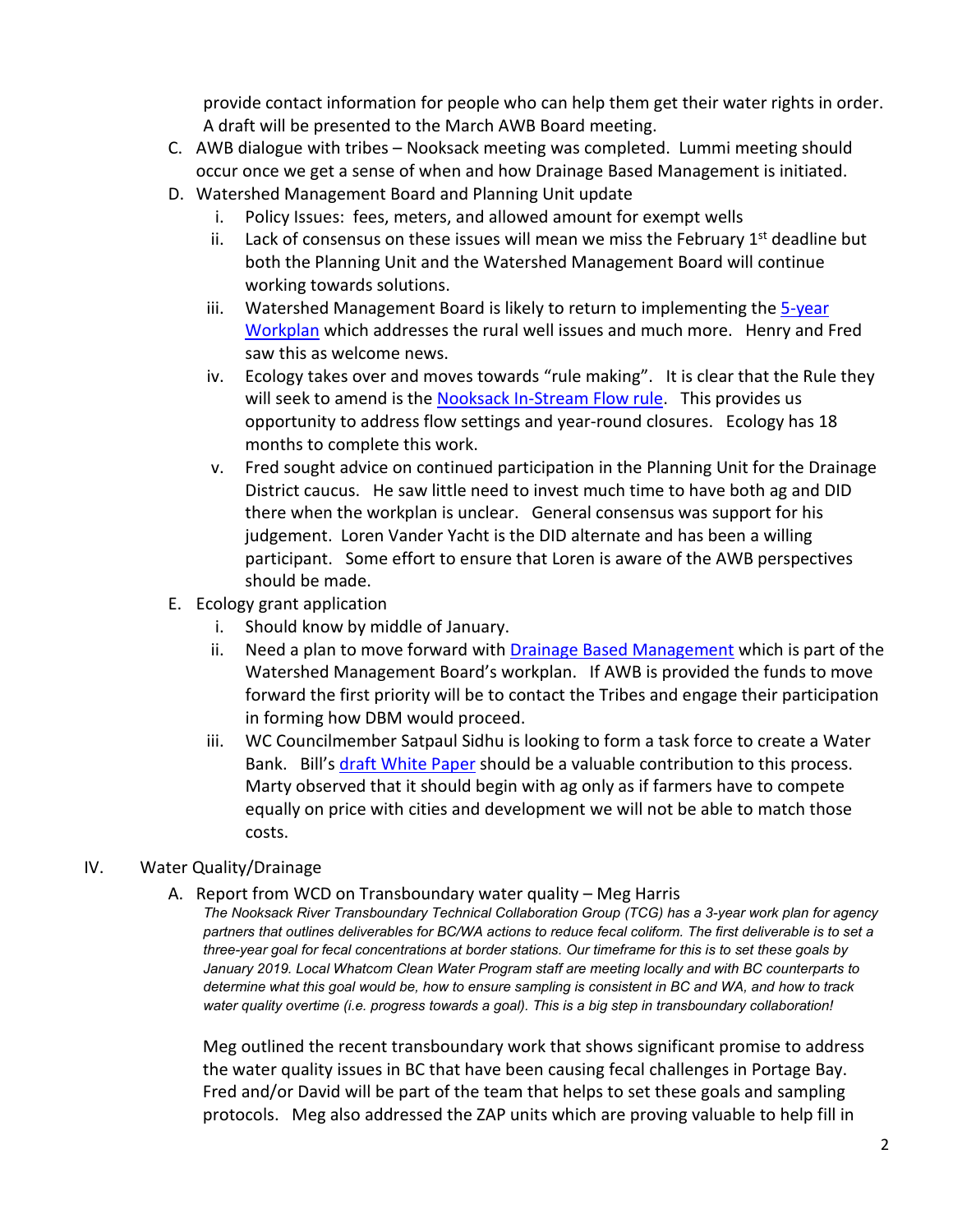provide contact information for people who can help them get their water rights in order. A draft will be presented to the March AWB Board meeting.

- C. AWB dialogue with tribes Nooksack meeting was completed. Lummi meeting should occur once we get a sense of when and how Drainage Based Management is initiated.
- D. Watershed Management Board and Planning Unit update
	- i. Policy Issues: fees, meters, and allowed amount for exempt wells
	- ii. Lack of consensus on these issues will mean we miss the February  $1<sup>st</sup>$  deadline but both the Planning Unit and the Watershed Management Board will continue working towards solutions.
	- iii. Watershed Management Board is likely to return to implementing the 5-year Workplan which addresses the rural well issues and much more. Henry and Fred saw this as welcome news.
	- iv. Ecology takes over and moves towards "rule making". It is clear that the Rule they will seek to amend is the Nooksack In-Stream Flow rule. This provides us opportunity to address flow settings and year-round closures. Ecology has 18 months to complete this work.
	- v. Fred sought advice on continued participation in the Planning Unit for the Drainage District caucus. He saw little need to invest much time to have both ag and DID there when the workplan is unclear. General consensus was support for his judgement. Loren Vander Yacht is the DID alternate and has been a willing participant. Some effort to ensure that Loren is aware of the AWB perspectives should be made.
- E. Ecology grant application
	- i. Should know by middle of January.
	- ii. Need a plan to move forward with **Drainage Based Management** which is part of the Watershed Management Board's workplan. If AWB is provided the funds to move forward the first priority will be to contact the Tribes and engage their participation in forming how DBM would proceed.
	- iii. WC Councilmember Satpaul Sidhu is looking to form a task force to create a Water Bank. Bill's draft White Paper should be a valuable contribution to this process. Marty observed that it should begin with ag only as if farmers have to compete equally on price with cities and development we will not be able to match those costs.

## IV. Water Quality/Drainage

A. Report from WCD on Transboundary water quality – Meg Harris

*The Nooksack River Transboundary Technical Collaboration Group (TCG) has a 3-year work plan for agency partners that outlines deliverables for BC/WA actions to reduce fecal coliform. The first deliverable is to set a three-year goal for fecal concentrations at border stations. Our timeframe for this is to set these goals by January 2019. Local Whatcom Clean Water Program staff are meeting locally and with BC counterparts to determine what this goal would be, how to ensure sampling is consistent in BC and WA, and how to track water quality overtime (i.e. progress towards a goal). This is a big step in transboundary collaboration!* 

Meg outlined the recent transboundary work that shows significant promise to address the water quality issues in BC that have been causing fecal challenges in Portage Bay. Fred and/or David will be part of the team that helps to set these goals and sampling protocols. Meg also addressed the ZAP units which are proving valuable to help fill in